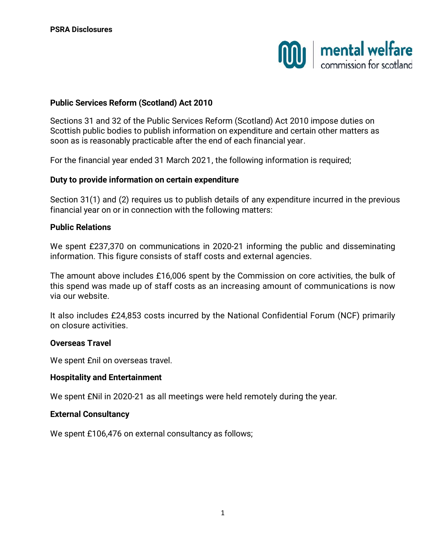

### **Public Services Reform (Scotland) Act 2010**

Sections 31 and 32 of the Public Services Reform (Scotland) Act 2010 impose duties on Scottish public bodies to publish information on expenditure and certain other matters as soon as is reasonably practicable after the end of each financial year.

For the financial year ended 31 March 2021, the following information is required;

#### **Duty to provide information on certain expenditure**

Section 31(1) and (2) requires us to publish details of any expenditure incurred in the previous financial year on or in connection with the following matters:

### **Public Relations**

We spent £237,370 on communications in 2020-21 informing the public and disseminating information. This figure consists of staff costs and external agencies.

The amount above includes £16,006 spent by the Commission on core activities, the bulk of this spend was made up of staff costs as an increasing amount of communications is now via our website.

It also includes £24,853 costs incurred by the National Confidential Forum (NCF) primarily on closure activities.

#### **Overseas Travel**

We spent £nil on overseas travel.

#### **Hospitality and Entertainment**

We spent £Nil in 2020-21 as all meetings were held remotely during the year.

### **External Consultancy**

We spent £106,476 on external consultancy as follows;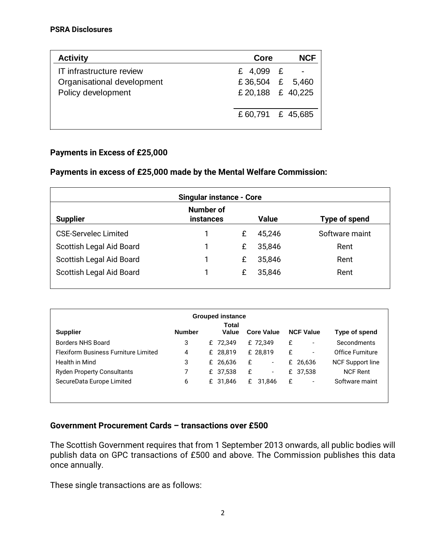| <b>Activity</b>            | Core             | <b>NCF</b> |  |
|----------------------------|------------------|------------|--|
| IT infrastructure review   | £ 4,099 £        |            |  |
| Organisational development | £36,504 £ 5,460  |            |  |
| Policy development         | £20,188 £ 40,225 |            |  |
|                            |                  |            |  |
|                            | £60,791 £ 45,685 |            |  |
|                            |                  |            |  |

# **Payments in Excess of £25,000**

## **Payments in excess of £25,000 made by the Mental Welfare Commission:**

| <b>Singular instance - Core</b> |                               |   |              |                |  |  |
|---------------------------------|-------------------------------|---|--------------|----------------|--|--|
| <b>Supplier</b>                 | Number of<br><b>instances</b> |   | <b>Value</b> | Type of spend  |  |  |
| <b>CSE-Servelec Limited</b>     |                               | £ | 45.246       | Software maint |  |  |
| Scottish Legal Aid Board        |                               | £ | 35,846       | Rent           |  |  |
| Scottish Legal Aid Board        |                               | £ | 35,846       | Rent           |  |  |
| Scottish Legal Aid Board        |                               | £ | 35,846       | Rent           |  |  |

| <b>Grouped instance</b> |  |                |                                                          |                          |                                                |                          |                                   |
|-------------------------|--|----------------|----------------------------------------------------------|--------------------------|------------------------------------------------|--------------------------|-----------------------------------|
| <b>Number</b>           |  | Total<br>Value |                                                          |                          |                                                |                          | Type of spend                     |
| 3                       |  |                |                                                          |                          | £                                              | $\overline{\phantom{a}}$ | Secondments                       |
| 4                       |  |                |                                                          |                          | £                                              | $\overline{\phantom{a}}$ | Office Furniture                  |
| 3                       |  |                | £                                                        | $\overline{\phantom{a}}$ |                                                |                          | <b>NCF Support line</b>           |
|                         |  |                | £                                                        | $\overline{\phantom{a}}$ |                                                | 37,538                   | <b>NCF Rent</b>                   |
| 6                       |  |                |                                                          | 31,846                   | £                                              | $\overline{\phantom{a}}$ | Software maint                    |
|                         |  |                |                                                          |                          |                                                |                          |                                   |
|                         |  |                | £ 72,349<br>£ 28,819<br>£ 26,636<br>£ 37,538<br>£ 31,846 |                          | <b>Core Value</b><br>£ 72,349<br>£ 28,819<br>£ |                          | <b>NCF Value</b><br>£ 26,636<br>£ |

## **Government Procurement Cards – transactions over £500**

The Scottish Government requires that from 1 September 2013 onwards, all public bodies will publish data on GPC transactions of £500 and above. The Commission publishes this data once annually.

These single transactions are as follows: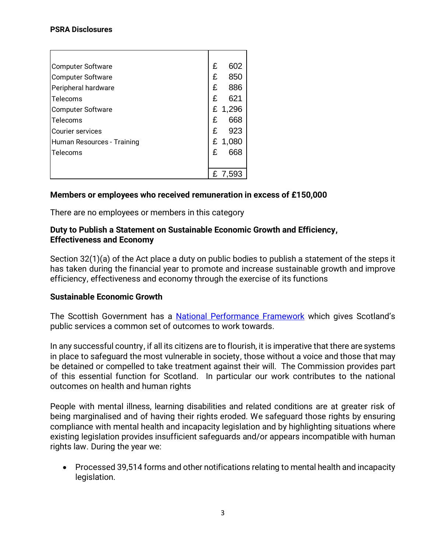#### **PSRA Disclosures**

| <b>Computer Software</b>   | £ | 602     |
|----------------------------|---|---------|
| <b>Computer Software</b>   | £ | 850     |
| Peripheral hardware        | £ | 886     |
| Telecoms                   | £ | 621     |
| <b>Computer Software</b>   | £ | 1,296   |
| Telecoms                   | £ | 668     |
| Courier services           | £ | 923     |
| Human Resources - Training | £ | 1,080   |
| Telecoms                   | £ | 668     |
|                            |   |         |
|                            |   | £ 7,593 |

## **Members or employees who received remuneration in excess of £150,000**

There are no employees or members in this category

### **Duty to Publish a Statement on Sustainable Economic Growth and Efficiency, Effectiveness and Economy**

Section 32(1)(a) of the Act place a duty on public bodies to publish a statement of the steps it has taken during the financial year to promote and increase sustainable growth and improve efficiency, effectiveness and economy through the exercise of its functions

## **Sustainable Economic Growth**

The Scottish Government has a [National Performance Framework](https://nationalperformance.gov.scot/) which gives Scotland's public services a common set of outcomes to work towards.

In any successful country, if all its citizens are to flourish, it is imperative that there are systems in place to safeguard the most vulnerable in society, those without a voice and those that may be detained or compelled to take treatment against their will. The Commission provides part of this essential function for Scotland. In particular our work contributes to the national outcomes on health and human rights

People with mental illness, learning disabilities and related conditions are at greater risk of being marginalised and of having their rights eroded. We safeguard those rights by ensuring compliance with mental health and incapacity legislation and by highlighting situations where existing legislation provides insufficient safeguards and/or appears incompatible with human rights law. During the year we:

• Processed 39,514 forms and other notifications relating to mental health and incapacity legislation.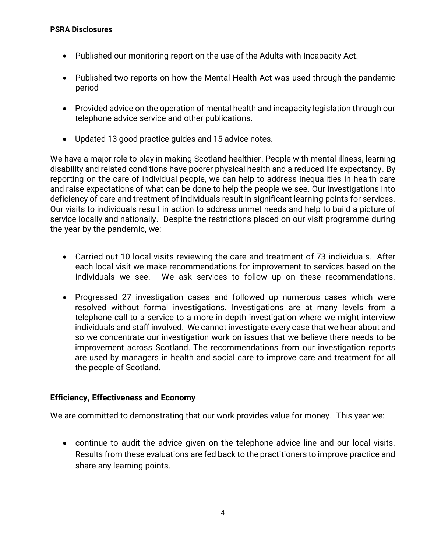- Published our monitoring report on the use of the Adults with Incapacity Act.
- Published two reports on how the Mental Health Act was used through the pandemic period
- Provided advice on the operation of mental health and incapacity legislation through our telephone advice service and other publications.
- Updated 13 good practice guides and 15 advice notes.

We have a major role to play in making Scotland healthier. People with mental illness, learning disability and related conditions have poorer physical health and a reduced life expectancy. By reporting on the care of individual people, we can help to address inequalities in health care and raise expectations of what can be done to help the people we see. Our investigations into deficiency of care and treatment of individuals result in significant learning points for services. Our visits to individuals result in action to address unmet needs and help to build a picture of service locally and nationally. Despite the restrictions placed on our visit programme during the year by the pandemic, we:

- Carried out 10 local visits reviewing the care and treatment of 73 individuals. After each local visit we make recommendations for improvement to services based on the individuals we see. We ask services to follow up on these recommendations.
- Progressed 27 investigation cases and followed up numerous cases which were resolved without formal investigations. Investigations are at many levels from a telephone call to a service to a more in depth investigation where we might interview individuals and staff involved. We cannot investigate every case that we hear about and so we concentrate our investigation work on issues that we believe there needs to be improvement across Scotland. The recommendations from our investigation reports are used by managers in health and social care to improve care and treatment for all the people of Scotland.

## **Efficiency, Effectiveness and Economy**

We are committed to demonstrating that our work provides value for money. This year we:

• continue to audit the advice given on the telephone advice line and our local visits. Results from these evaluations are fed back to the practitioners to improve practice and share any learning points.